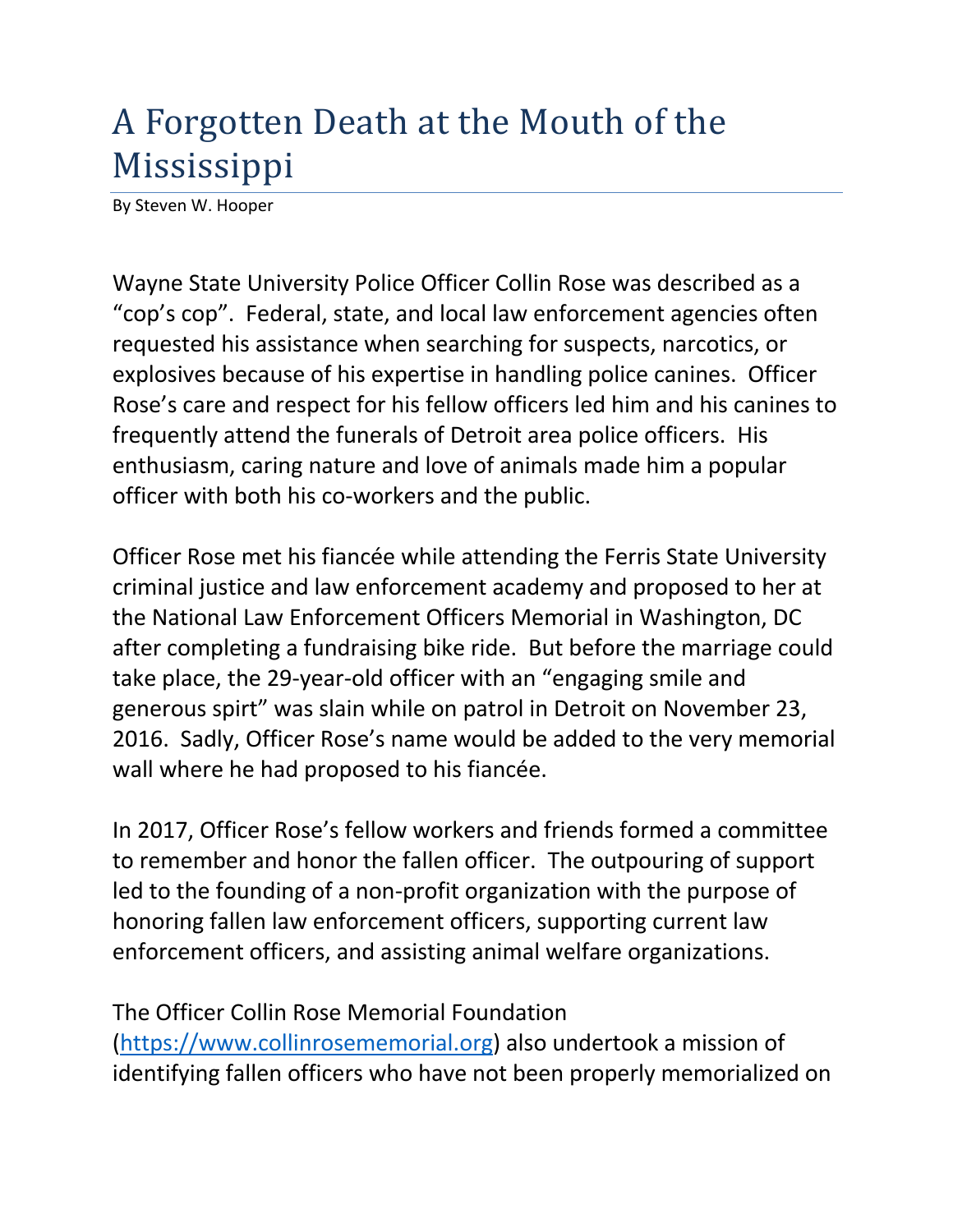## A Forgotten Death at the Mouth of the Mississippi

By Steven W. Hooper

Wayne State University Police Officer Collin Rose was described as a "cop's cop". Federal, state, and local law enforcement agencies often requested his assistance when searching for suspects, narcotics, or explosives because of his expertise in handling police canines. Officer Rose's care and respect for his fellow officers led him and his canines to frequently attend the funerals of Detroit area police officers. His enthusiasm, caring nature and love of animals made him a popular officer with both his co-workers and the public.

Officer Rose met his fiancée while attending the Ferris State University criminal justice and law enforcement academy and proposed to her at the National Law Enforcement Officers Memorial in Washington, DC after completing a fundraising bike ride. But before the marriage could take place, the 29-year-old officer with an "engaging smile and generous spirt" was slain while on patrol in Detroit on November 23, 2016. Sadly, Officer Rose's name would be added to the very memorial wall where he had proposed to his fiancée.

In 2017, Officer Rose's fellow workers and friends formed a committee to remember and honor the fallen officer. The outpouring of support led to the founding of a non-profit organization with the purpose of honoring fallen law enforcement officers, supporting current law enforcement officers, and assisting animal welfare organizations.

The Officer Collin Rose Memorial Foundation (https://www.collinrosememorial.org) also undertook a mission of identifying fallen officers who have not been properly memorialized on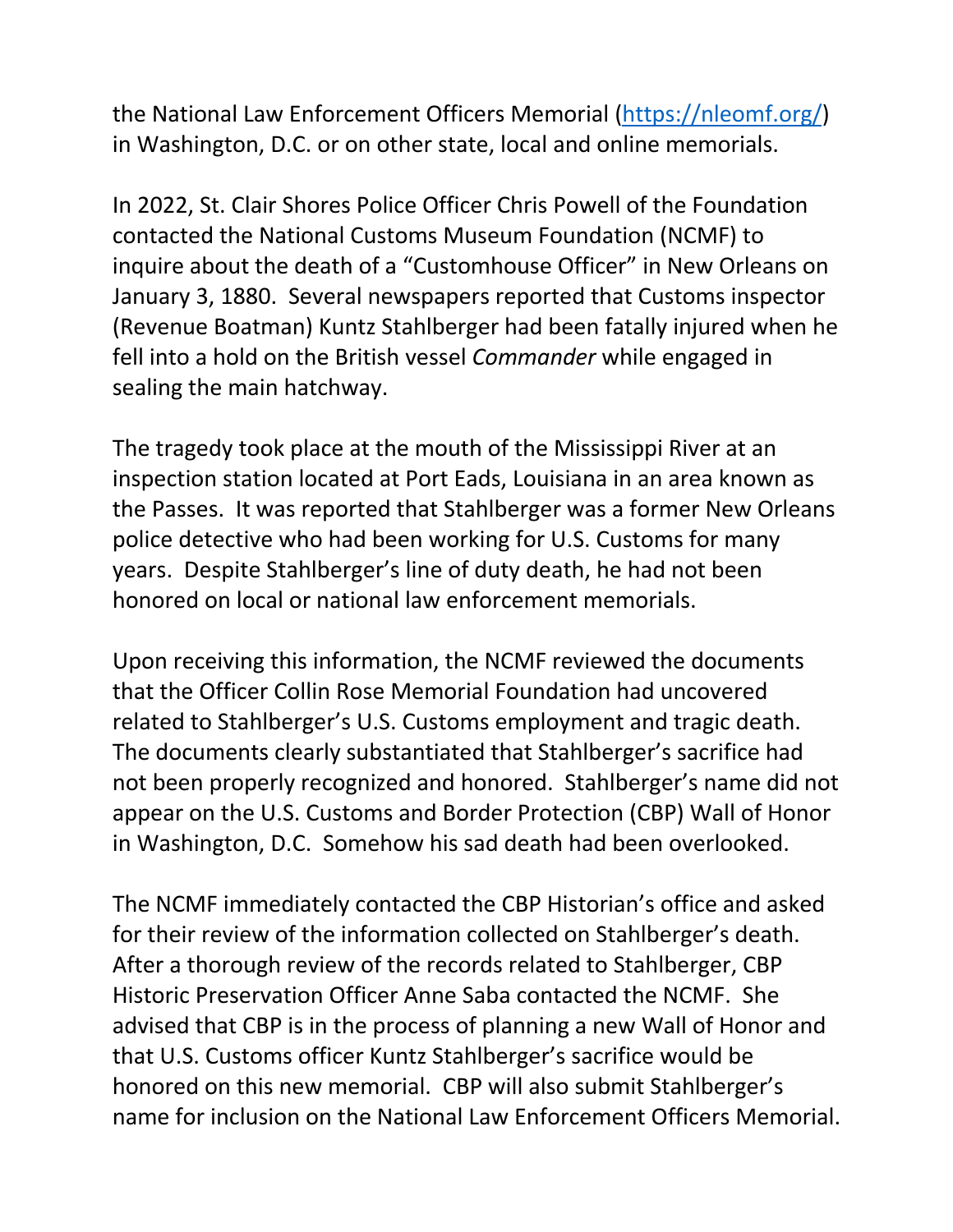the National Law Enforcement Officers Memorial (https://nleomf.org/) in Washington, D.C. or on other state, local and online memorials.

In 2022, St. Clair Shores Police Officer Chris Powell of the Foundation contacted the National Customs Museum Foundation (NCMF) to inquire about the death of a "Customhouse Officer" in New Orleans on January 3, 1880. Several newspapers reported that Customs inspector (Revenue Boatman) Kuntz Stahlberger had been fatally injured when he fell into a hold on the British vessel *Commander* while engaged in sealing the main hatchway.

The tragedy took place at the mouth of the Mississippi River at an inspection station located at Port Eads, Louisiana in an area known as the Passes. It was reported that Stahlberger was a former New Orleans police detective who had been working for U.S. Customs for many years. Despite Stahlberger's line of duty death, he had not been honored on local or national law enforcement memorials.

Upon receiving this information, the NCMF reviewed the documents that the Officer Collin Rose Memorial Foundation had uncovered related to Stahlberger's U.S. Customs employment and tragic death. The documents clearly substantiated that Stahlberger's sacrifice had not been properly recognized and honored. Stahlberger's name did not appear on the U.S. Customs and Border Protection (CBP) Wall of Honor in Washington, D.C. Somehow his sad death had been overlooked.

The NCMF immediately contacted the CBP Historian's office and asked for their review of the information collected on Stahlberger's death. After a thorough review of the records related to Stahlberger, CBP Historic Preservation Officer Anne Saba contacted the NCMF. She advised that CBP is in the process of planning a new Wall of Honor and that U.S. Customs officer Kuntz Stahlberger's sacrifice would be honored on this new memorial. CBP will also submit Stahlberger's name for inclusion on the National Law Enforcement Officers Memorial.